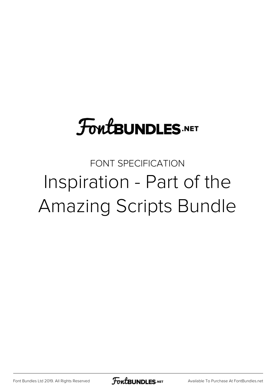## **FoutBUNDLES.NET**

## FONT SPECIFICATION Inspiration - Part of the Amazing Scripts Bundle

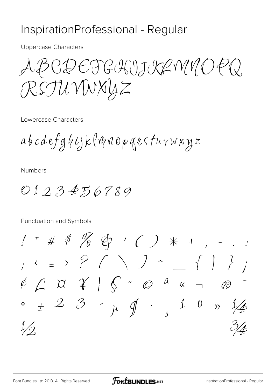## InspirationProfessional - Regular

**Uppercase Characters** 

ABCDEFGHIJKRMMOPQ RSTUVWXYZ

Lowercase Characters

 $a b c d e f g f i j k$  (W  $\eta$  op  $q$   $\iota$  s  $f$   $u \vee w$   $x y z$ 

**Numbers** 

 $0123456789$ 

Punctuation and Symbols

 $1''$  # \$  $\%$  &  $\%$  ( )  $*$  + , - . :  $\frac{1}{2}$   $\left\{ \begin{array}{ccc} 1 & 1 & 1 \\ 1 & 1 & 1 \end{array} \right\}$   $\left\{ \begin{array}{ccc} 1 & 1 & 1 \\ 1 & 1 & 1 \end{array} \right\}$  $\mathbb{R}$  $\pm$  2 3  $\mu$  of  $\cdot$  1 0  $\lambda$  1/4  $1/2$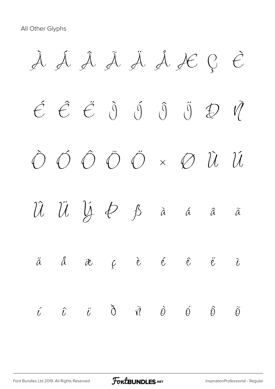All Other Glyphs

À Á Â Ã Ä Å Æ Ç È  $\acute{e}$   $\acute{e}$   $\acute{e}$   $\acute{0}$   $\acute{0}$   $\acute{0}$   $\ddot{0}$   $\ddot{0}$   $\ddot{1}$ Ò Ó Ô Õ Ö × Ø Ù Ú Û Ü Ý Þ ß à á â ã  $\ddot{a}$   $\ddot{a}$   $\alpha$   $c$   $\dot{e}$   $\ddot{e}$   $\ddot{e}$   $\ddot{e}$   $\ddot{c}$  $\tilde{\iota}$   $\tilde{\iota}$   $\tilde{\iota}$   $\tilde{\jmath}$   $\tilde{\eta}$   $\tilde{\varrho}$   $\tilde{\varrho}$   $\tilde{\varrho}$   $\tilde{\varrho}$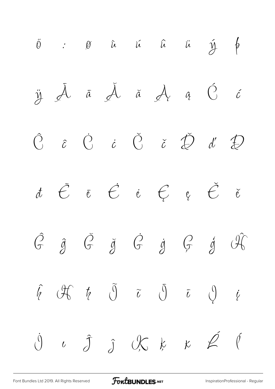

[Font Bundles Ltd 2019. All Rights Reserved](https://fontbundles.net/) **FoutBUNDLES.NET** [InspirationProfessional - Regular](https://fontbundles.net/)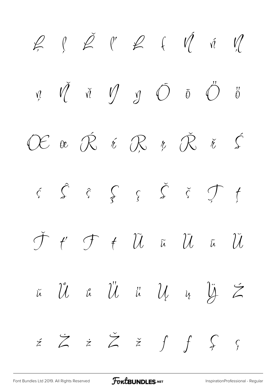$\begin{array}{ccccc} & \rho & \tilde{\rho} & \rho & \rho & \epsilon & \tilde{\eta} & \tilde{\eta} \end{array}$  $\bigvee_{i=1}^{n} \delta_{i} \circ \bigvee_{i=1}^{n} \delta_{i} \circ \bigvee_{i=1}^{n} \delta_{i} \circ \bigvee_{i=1}^{n} \delta_{i} \circ \bigvee_{i=1}^{n} \delta_{i} \circ \bigvee_{i=1}^{n} \delta_{i} \circ \bigvee_{i=1}^{n} \delta_{i} \circ \bigvee_{i=1}^{n} \delta_{i} \circ \bigvee_{i=1}^{n} \delta_{i} \circ \bigvee_{i=1}^{n} \delta_{i} \circ \bigvee_{i=1}^{n} \delta_{i} \circ \bigvee_{i=1}^{n$  $\bigcirc$  $\ddot{\theta}$  $\overline{M}$  $\alpha$   $\hat{\mathcal{R}}$  $\int$ r Ř  $\varepsilon \,\,\mathcal{R}$  $\bigcap$  $\check{\mathcal{H}}$  $\hat{\mathcal{S}}$   $\hat{\zeta}$  $\begin{array}{ccccc} & & \hat{\zeta} & \check{\zeta} & \check{\zeta} & \hat{\zeta} & \hat{\zeta} & \hat{\zeta} & \hat{\zeta} & \hat{\zeta} & \hat{\zeta} & \hat{\zeta} & \hat{\zeta} & \hat{\zeta} & \hat{\zeta} & \hat{\zeta} & \hat{\zeta} & \hat{\zeta} & \hat{\zeta} & \hat{\zeta} & \hat{\zeta} & \hat{\zeta} & \hat{\zeta} & \hat{\zeta} & \hat{\zeta} & \hat{\zeta} & \hat{\zeta} & \hat{\zeta} & \hat{\zeta} & \hat{\zeta} & \hat{\zeta} & \hat{\zeta} &$  $\hat{\zeta}$  $\overline{\mathcal{F}}$  $f'$   $\mathcal{F}$   $f$   $\widetilde{\mathcal{U}}$  $\overline{\mathcal{U}}$  $\overline{\mathcal{U}}$  $\widetilde{\mu}$  $\overline{\mu}$  $\hat{\mathcal{U}}$   $\hat{\mathfrak{\iota}}$   $\hat{\mathcal{U}}$   $\hat{\mathfrak{\iota}}$  $\mathcal{U}$  $\overline{\mathcal{Y}}$  $\sum_{i=1}^{n}$  $\tilde{\mu}$  $\mathcal{U}$  $\acute{z}$   $\acute{z}$   $\acute{z}$   $\acute{z}$   $\acute{f}$   $\acute{f}$   $\acute{S}$ 

FoutBUNDLES.NET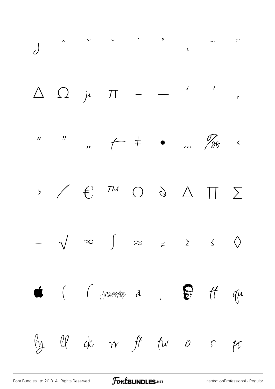

[Font Bundles Ltd 2019. All Rights Reserved](https://fontbundles.net/) **FoutBUNDLES.NET** [InspirationProfessional - Regular](https://fontbundles.net/)